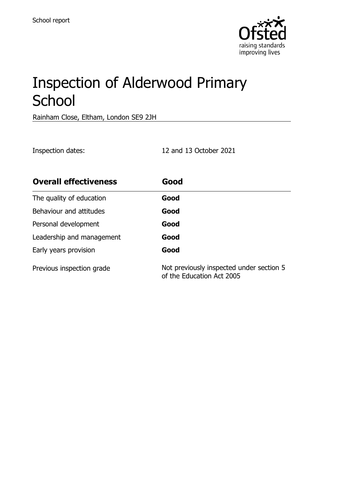

# Inspection of Alderwood Primary **School**

Rainham Close, Eltham, London SE9 2JH

Inspection dates: 12 and 13 October 2021

| <b>Overall effectiveness</b> | Good                                                                  |
|------------------------------|-----------------------------------------------------------------------|
| The quality of education     | Good                                                                  |
| Behaviour and attitudes      | Good                                                                  |
| Personal development         | Good                                                                  |
| Leadership and management    | Good                                                                  |
| Early years provision        | Good                                                                  |
| Previous inspection grade    | Not previously inspected under section 5<br>of the Education Act 2005 |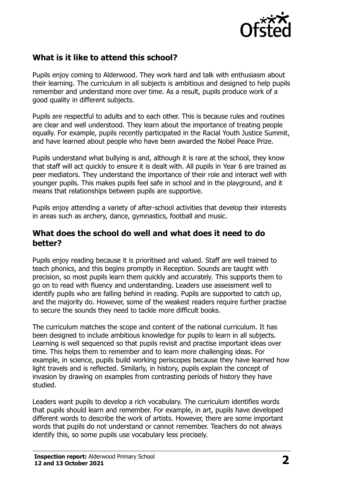

## **What is it like to attend this school?**

Pupils enjoy coming to Alderwood. They work hard and talk with enthusiasm about their learning. The curriculum in all subjects is ambitious and designed to help pupils remember and understand more over time. As a result, pupils produce work of a good quality in different subjects.

Pupils are respectful to adults and to each other. This is because rules and routines are clear and well understood. They learn about the importance of treating people equally. For example, pupils recently participated in the Racial Youth Justice Summit, and have learned about people who have been awarded the Nobel Peace Prize.

Pupils understand what bullying is and, although it is rare at the school, they know that staff will act quickly to ensure it is dealt with. All pupils in Year 6 are trained as peer mediators. They understand the importance of their role and interact well with younger pupils. This makes pupils feel safe in school and in the playground, and it means that relationships between pupils are supportive.

Pupils enjoy attending a variety of after-school activities that develop their interests in areas such as archery, dance, gymnastics, football and music.

#### **What does the school do well and what does it need to do better?**

Pupils enjoy reading because it is prioritised and valued. Staff are well trained to teach phonics, and this begins promptly in Reception. Sounds are taught with precision, so most pupils learn them quickly and accurately. This supports them to go on to read with fluency and understanding. Leaders use assessment well to identify pupils who are falling behind in reading. Pupils are supported to catch up, and the majority do. However, some of the weakest readers require further practise to secure the sounds they need to tackle more difficult books.

The curriculum matches the scope and content of the national curriculum. It has been designed to include ambitious knowledge for pupils to learn in all subjects. Learning is well sequenced so that pupils revisit and practise important ideas over time. This helps them to remember and to learn more challenging ideas. For example, in science, pupils build working periscopes because they have learned how light travels and is reflected. Similarly, in history, pupils explain the concept of invasion by drawing on examples from contrasting periods of history they have studied.

Leaders want pupils to develop a rich vocabulary. The curriculum identifies words that pupils should learn and remember. For example, in art, pupils have developed different words to describe the work of artists. However, there are some important words that pupils do not understand or cannot remember. Teachers do not always identify this, so some pupils use vocabulary less precisely.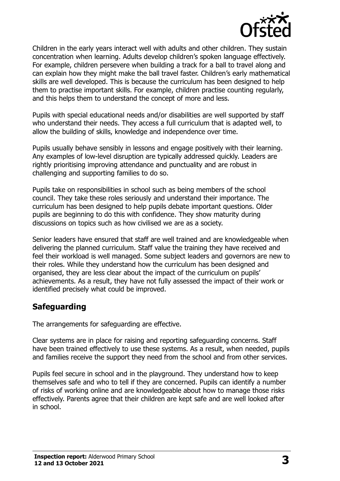

Children in the early years interact well with adults and other children. They sustain concentration when learning. Adults develop children's spoken language effectively. For example, children persevere when building a track for a ball to travel along and can explain how they might make the ball travel faster. Children's early mathematical skills are well developed. This is because the curriculum has been designed to help them to practise important skills. For example, children practise counting regularly, and this helps them to understand the concept of more and less.

Pupils with special educational needs and/or disabilities are well supported by staff who understand their needs. They access a full curriculum that is adapted well, to allow the building of skills, knowledge and independence over time.

Pupils usually behave sensibly in lessons and engage positively with their learning. Any examples of low-level disruption are typically addressed quickly. Leaders are rightly prioritising improving attendance and punctuality and are robust in challenging and supporting families to do so.

Pupils take on responsibilities in school such as being members of the school council. They take these roles seriously and understand their importance. The curriculum has been designed to help pupils debate important questions. Older pupils are beginning to do this with confidence. They show maturity during discussions on topics such as how civilised we are as a society.

Senior leaders have ensured that staff are well trained and are knowledgeable when delivering the planned curriculum. Staff value the training they have received and feel their workload is well managed. Some subject leaders and governors are new to their roles. While they understand how the curriculum has been designed and organised, they are less clear about the impact of the curriculum on pupils' achievements. As a result, they have not fully assessed the impact of their work or identified precisely what could be improved.

## **Safeguarding**

The arrangements for safeguarding are effective.

Clear systems are in place for raising and reporting safeguarding concerns. Staff have been trained effectively to use these systems. As a result, when needed, pupils and families receive the support they need from the school and from other services.

Pupils feel secure in school and in the playground. They understand how to keep themselves safe and who to tell if they are concerned. Pupils can identify a number of risks of working online and are knowledgeable about how to manage those risks effectively. Parents agree that their children are kept safe and are well looked after in school.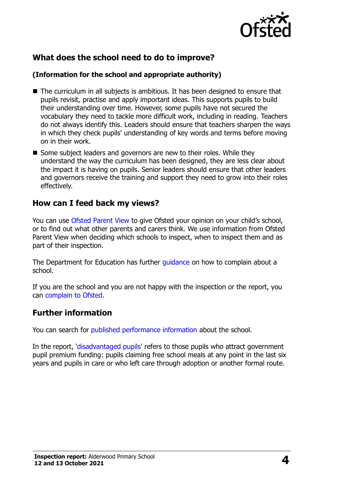

# **What does the school need to do to improve?**

#### **(Information for the school and appropriate authority)**

- The curriculum in all subjects is ambitious. It has been designed to ensure that pupils revisit, practise and apply important ideas. This supports pupils to build their understanding over time. However, some pupils have not secured the vocabulary they need to tackle more difficult work, including in reading. Teachers do not always identify this. Leaders should ensure that teachers sharpen the ways in which they check pupils' understanding of key words and terms before moving on in their work.
- Some subject leaders and governors are new to their roles. While they understand the way the curriculum has been designed, they are less clear about the impact it is having on pupils. Senior leaders should ensure that other leaders and governors receive the training and support they need to grow into their roles effectively.

## **How can I feed back my views?**

You can use [Ofsted Parent View](http://parentview.ofsted.gov.uk/) to give Ofsted your opinion on your child's school, or to find out what other parents and carers think. We use information from Ofsted Parent View when deciding which schools to inspect, when to inspect them and as part of their inspection.

The Department for Education has further [guidance](http://www.gov.uk/complain-about-school) on how to complain about a school.

If you are the school and you are not happy with the inspection or the report, you can [complain to Ofsted.](http://www.gov.uk/complain-ofsted-report)

## **Further information**

You can search for [published performance information](http://www.compare-school-performance.service.gov.uk/) about the school.

In the report, '[disadvantaged pupils](http://www.gov.uk/guidance/pupil-premium-information-for-schools-and-alternative-provision-settings)' refers to those pupils who attract government pupil premium funding: pupils claiming free school meals at any point in the last six years and pupils in care or who left care through adoption or another formal route.

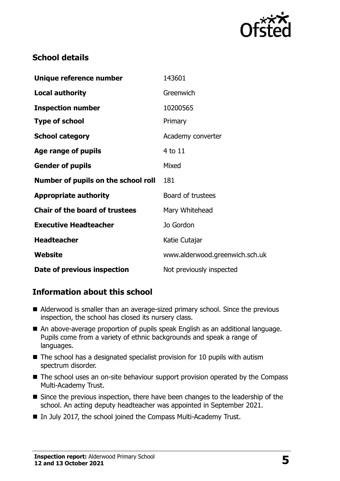

## **School details**

| Unique reference number               | 143601                         |
|---------------------------------------|--------------------------------|
| <b>Local authority</b>                | Greenwich                      |
| <b>Inspection number</b>              | 10200565                       |
| <b>Type of school</b>                 | Primary                        |
| <b>School category</b>                | Academy converter              |
| Age range of pupils                   | 4 to 11                        |
| <b>Gender of pupils</b>               | Mixed                          |
| Number of pupils on the school roll   | 181                            |
| <b>Appropriate authority</b>          | Board of trustees              |
| <b>Chair of the board of trustees</b> | Mary Whitehead                 |
| <b>Executive Headteacher</b>          | Jo Gordon                      |
| <b>Headteacher</b>                    | Katie Cutajar                  |
| Website                               | www.alderwood.greenwich.sch.uk |
| Date of previous inspection           | Not previously inspected       |

## **Information about this school**

- Alderwood is smaller than an average-sized primary school. Since the previous inspection, the school has closed its nursery class.
- An above-average proportion of pupils speak English as an additional language. Pupils come from a variety of ethnic backgrounds and speak a range of languages.
- $\blacksquare$  The school has a designated specialist provision for 10 pupils with autism spectrum disorder.
- The school uses an on-site behaviour support provision operated by the Compass Multi-Academy Trust.
- Since the previous inspection, there have been changes to the leadership of the school. An acting deputy headteacher was appointed in September 2021.
- In July 2017, the school joined the Compass Multi-Academy Trust.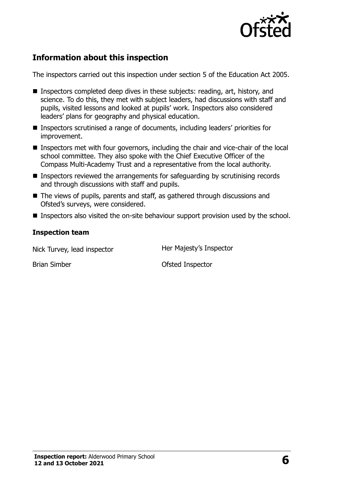

# **Information about this inspection**

The inspectors carried out this inspection under section 5 of the Education Act 2005.

- Inspectors completed deep dives in these subjects: reading, art, history, and science. To do this, they met with subject leaders, had discussions with staff and pupils, visited lessons and looked at pupils' work. Inspectors also considered leaders' plans for geography and physical education.
- Inspectors scrutinised a range of documents, including leaders' priorities for improvement.
- Inspectors met with four governors, including the chair and vice-chair of the local school committee. They also spoke with the Chief Executive Officer of the Compass Multi-Academy Trust and a representative from the local authority.
- Inspectors reviewed the arrangements for safeguarding by scrutinising records and through discussions with staff and pupils.
- The views of pupils, parents and staff, as gathered through discussions and Ofsted's surveys, were considered.
- Inspectors also visited the on-site behaviour support provision used by the school.

#### **Inspection team**

Nick Turvey, lead inspector **Her Majesty's Inspector** 

Brian Simber **Department Controller** Controllering Ofsted Inspector